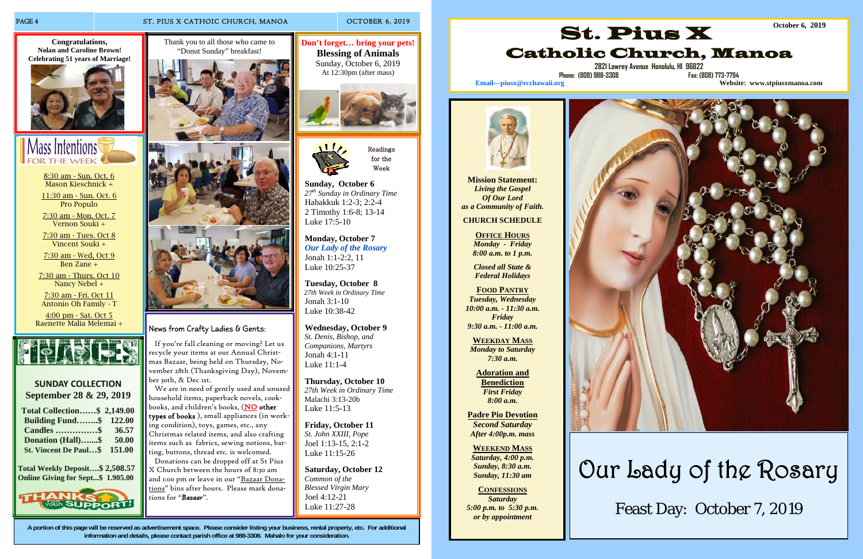### PAGE 4 ST. PIUS X CATHOIC CHURCH, MANOA OCTOBER 6, 2019

**A portion of this page will be reserved as advertisement space. Please consider listing your business, rental property, etc. For additional information and details, please contact parish office at 988-3308. Mahalo for your consideration.**

 **Sunday, October 6**   *27th Sunday in Ordinary Time*  Habakkuk 1:2-3; 2:2-4 2 Timothy 1:6-8; 13-14 Luke 17:5-10

 **Monday, October 7**   *Our Lady of the Rosary*  Jonah 1:1-2:2, 11 Luke 10:25-37

 **Tuesday, October 8**   *27th Week in Ordinary Time*  Jonah 3:1-10 Luke 10:38-42

 **Wednesday, October 9**   *St. Denis, Bishop, and Companions, Martyrs*  Jonah 4:1-11 Luke 11:1-4

 **Thursday, October 10**   *27th Week in Ordinary Time*  Malachi 3:13-20b Luke 11:5-13

 **Friday, October 11**   *St. John XXIII, Pope*  Joel 1:13-15, 2:1-2 Luke 11:15-26

 **Saturday, October 12**   *Common of the Blessed Virgin Mary*  Joel 4:12-21 Luke 11:27-28



Week

8:30 am - Sun. Oct. 6 Mason Kieschnick +

> We are in need of gently used and unused household items, paperback novels, cookbooks, and children's books, (NO other types of books ), small appliances (in working condition), toys, games, etc., any Christmas related items, and also crafting items such as fabrics, sewing notions, batting, buttons, thread etc. is welcomed.

11:30 am - Sun. Oct. 6 Pro Populo

7:30 am - Mon. Oct. 7 Vernon Souki +

7:30 am - Tues. Oct 8 Vincent Souki +

7:30 am - Wed, Oct 9 Ben Zane +

7:30 am - Thurs. Oct 10 Nancy Nebel +

7:30 am - Fri. Oct 11 Antonio Oh Family - T

4:00 pm - Sat. Oct 5 Raenette Malia Melemai +



## **SUNDAY COLLECTIONSeptember 28 & 29, 2019**

**OFFICE HOURS** *Monday - Friday 8:00 a.m. to 1 p.m.* 

| <b>Total Collection \$2,149.00</b> |        |
|------------------------------------|--------|
| <b>Building Fund\$</b> 122.00      |        |
| <b>Candles </b> \$                 | 36.57  |
| <b>Donation (Hall)\$</b>           | 50.00  |
| <b>St. Vincent De Paul\$</b>       | 151.00 |

**Total Weekly Deposit….\$ 2,508.57 Online Giving for Sept...\$ 1.905.00** 



**Congratulations, Nolan and Caroline Brown! Celebrating 51 years of Marriage!** 





**Don't forget… bring your pets! Blessing of Animals**  Sunday, October 6, 2019 At 12:30pm (after mass)



Thank you to all those who came to "Donut Sunday" breakfast!







### News from Crafty Ladies & Gents:

 If you're fall cleaning or moving? Let us recycle your items at our Annual Christmas Bazaar, being held on Thursday, November 28th (Thanksgiving Day), November 30th, & Dec 1st.

 Donations can be dropped off at St Pius X Church between the hours of 8:30 am and 1:00 pm or leave in our "Bazaar Donations" bins after hours. Please mark donations for *"Bazaar".* 

**Mission Statement:** *Living the Gospel Of Our Lord as a Community of Faith.* 

**CHURCH SCHEDULE** 

*Closed all State & Federal Holidays* 

**FOOD PANTRY** *Tuesday, Wednesday 10:00 a.m. - 11:30 a.m. Friday 9:30 a.m. - 11:00 a.m.* 

**WEEKDAY MASS** *Monday to Saturday 7:30 a.m.* 

> **Adoration and Benediction**  *First Friday 8:00 a.m.*

**Padre Pio Devotion**  *Second Saturday After 4:00p.m. mass* 

**WEEKEND MASS***Saturday, 4:00 p.m. Sunday, 8:30 a.m. Sunday, 11:30 am* 

**CONFESSIONS***Saturday 5:00 p.m. to 5:30 p.m. or by appointment* 



**2821 Lowrey Avenue Honolulu, HI 96822** 



**Phone: (808) 988-3308 Fax: (808) 773-7794** 



**Email—piusx@rcchawaii.org Website: www.stpiusxmanoa.com**

Our Lady of the Rosary Feast Day: October 7, 2019